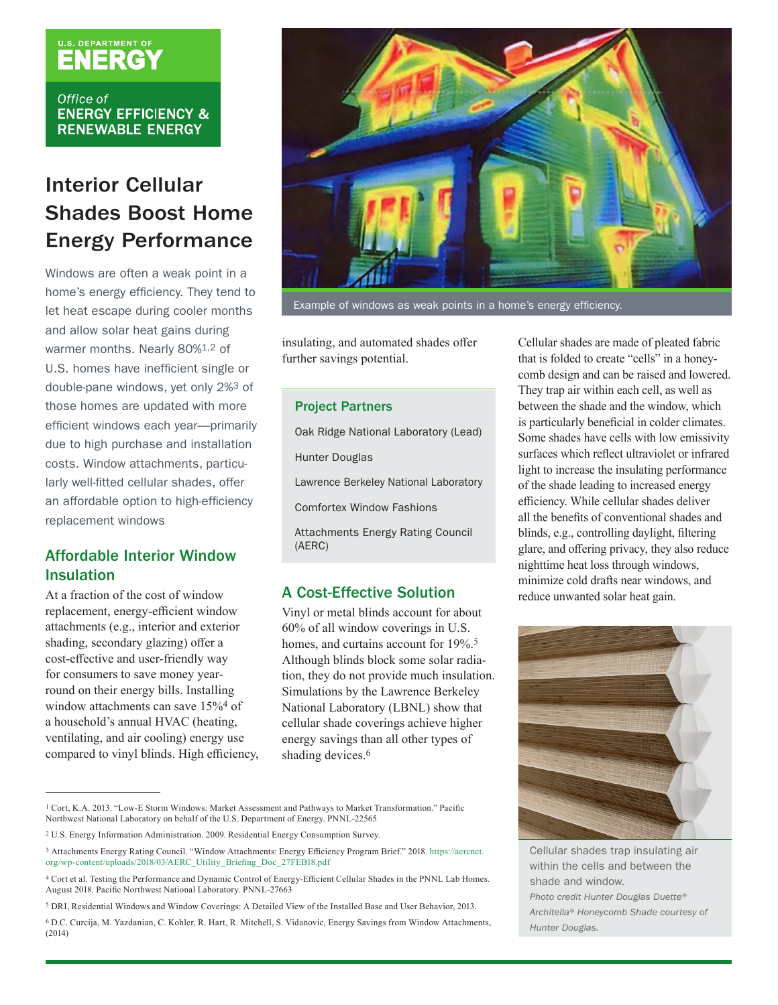## **U.S. DEPARTMENT OF**

Office of **ENERGY EFFICIENCY & RENEWABLE ENERGY** 

### Interior Cellular Shades Boost Home Energy Performance

Windows are often a weak point in a home's energy efficiency. They tend to let heat escape during cooler months and allow solar heat gains during warmer months. Nearly 80%1,2 of U.S. homes have inefficient single or double-pane windows, yet only 2%3 of those homes are updated with more efficient windows each year—primarily due to high purchase and installation costs. Window attachments, particularly well-fitted cellular shades, offer an affordable option to high-efficiency replacement windows

### Affordable Interior Window Insulation

At a fraction of the cost of window replacement, energy-efficient window attachments (e.g., interior and exterior shading, secondary glazing) offer a cost-effective and user-friendly way for consumers to save money yearround on their energy bills. Installing window attachments can save 15%4 of a household's annual HVAC (heating, ventilating, and air cooling) energy use compared to vinyl blinds. High efficiency,



Example of windows as weak points in a home's energy efficiency.

insulating, and automated shades offer further savings potential.

#### Project Partners

Oak Ridge National Laboratory (Lead) Hunter Douglas Lawrence Berkeley National Laboratory Comfortex Window Fashions Attachments Energy Rating Council (AERC)

#### A Cost-Effective Solution

Vinyl or metal blinds account for about 60% of all window coverings in U.S. homes, and curtains account for 19%.<sup>5</sup> Although blinds block some solar radiation, they do not provide much insulation. Simulations by the Lawrence Berkeley National Laboratory (LBNL) show that cellular shade coverings achieve higher energy savings than all other types of shading devices.<sup>6</sup>

1 Cort, K.A. 2013. "Low-E Storm Windows: Market Assessment and Pathways to Market Transformation." Pacific Northwest National Laboratory on behalf of the U.S. Department of Energy. PNNL-22565

6 D.C. Curcija, M. Yazdanian, C. Kohler, R. Hart, R. Mitchell, S. Vidanovic, Energy Savings from Window Attachments, (2014)

Cellular shades are made of pleated fabric that is folded to create "cells" in a honeycomb design and can be raised and lowered. They trap air within each cell, as well as between the shade and the window, which is particularly beneficial in colder climates. Some shades have cells with low emissivity surfaces which reflect ultraviolet or infrared light to increase the insulating performance of the shade leading to increased energy efficiency. While cellular shades deliver all the benefits of conventional shades and blinds, e.g., controlling daylight, filtering glare, and offering privacy, they also reduce nighttime heat loss through windows, minimize cold drafts near windows, and reduce unwanted solar heat gain.



Cellular shades trap insulating air within the cells and between the shade and window. *Photo credit Hunter Douglas Duette® Architella® Honeycomb Shade courtesy of Hunter Douglas.*

<sup>2</sup> U.S. Energy Information Administration. 2009. Residential Energy Consumption Survey.

<sup>3</sup> Attachments Energy Rating Council. "Window Attachments: Energy Efficiency Program Brief." 2018. [https://aercnet.](https://aercnet.org/wp-content/uploads/2018/03/AERC_Utility_Briefing_Doc_27FEB18.pdf) [org/wp-content/uploads/2018/03/AERC\\_Utility\\_Briefing\\_Doc\\_27FEB18.pdf](https://aercnet.org/wp-content/uploads/2018/03/AERC_Utility_Briefing_Doc_27FEB18.pdf)

<sup>4</sup> Cort et al. Testing the Performance and Dynamic Control of Energy-Efficient Cellular Shades in the PNNL Lab Homes. August 2018. Pacific Northwest National Laboratory. PNNL-27663

<sup>5</sup> DRI, Residential Windows and Window Coverings: A Detailed View of the Installed Base and User Behavior, 2013.